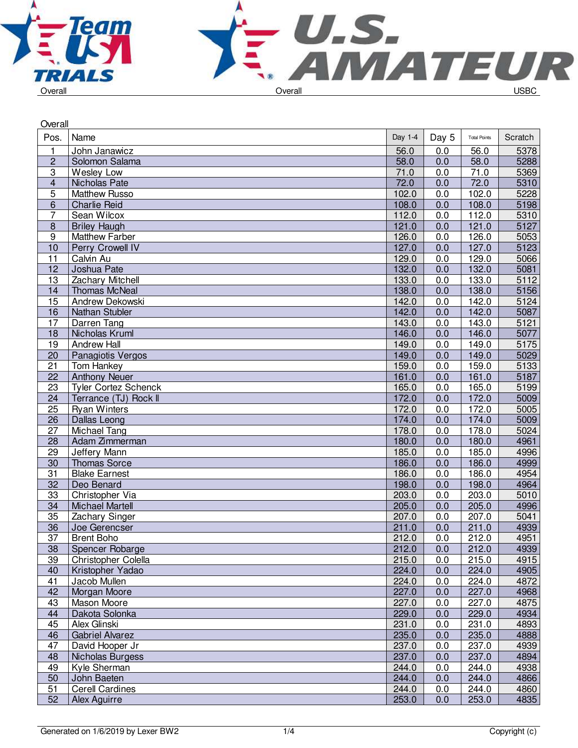



| Overall         |                             |         |            |                     |         |  |
|-----------------|-----------------------------|---------|------------|---------------------|---------|--|
| Pos.            | Name                        | Day 1-4 | Day 5      | <b>Total Points</b> | Scratch |  |
| 1               | John Janawicz               | 56.0    | 0.0        | 56.0                | 5378    |  |
| $\overline{c}$  | Solomon Salama              | 58.0    | 0.0        | 58.0                | 5288    |  |
| 3               | Wesley Low                  | 71.0    | 0.0        | 71.0                | 5369    |  |
| 4               | Nicholas Pate               | 72.0    | 0.0        | 72.0                | 5310    |  |
| 5               | <b>Matthew Russo</b>        | 102.0   | 0.0        | 102.0               | 5228    |  |
| $\overline{6}$  | <b>Charlie Reid</b>         | 108.0   | 0.0        | 108.0               | 5198    |  |
| 7               | Sean Wilcox                 | 112.0   | 0.0        | 112.0               | 5310    |  |
| $\overline{8}$  | <b>Briley Haugh</b>         | 121.0   | 0.0        | 121.0               | 5127    |  |
| $\overline{9}$  | <b>Matthew Farber</b>       | 126.0   | 0.0        | 126.0               | 5053    |  |
| 10              | <b>Perry Crowell IV</b>     | 127.0   | 0.0        | 127.0               | 5123    |  |
| $\overline{11}$ | Calvin Au                   | 129.0   | 0.0        | 129.0               | 5066    |  |
| 12              | Joshua Pate                 | 132.0   | 0.0        | 132.0               | 5081    |  |
| 13              | Zachary Mitchell            | 133.0   | 0.0        | 133.0               | 5112    |  |
| 14              | <b>Thomas McNeal</b>        | 138.0   | 0.0        | 138.0               | 5156    |  |
| 15              | Andrew Dekowski             | 142.0   | 0.0        | 142.0               | 5124    |  |
| 16              | Nathan Stubler              | 142.0   | 0.0        | 142.0               | 5087    |  |
| 17              | Darren Tang                 | 143.0   | 0.0        | 143.0               | 5121    |  |
| 18              | Nicholas Kruml              | 146.0   | 0.0        | 146.0               | 5077    |  |
| 19              | <b>Andrew Hall</b>          | 149.0   | 0.0        | 149.0               | 5175    |  |
| $\overline{20}$ | Panagiotis Vergos           | 149.0   | 0.0        | 149.0               | 5029    |  |
| 21              | Tom Hankey                  | 159.0   | 0.0        | 159.0               | 5133    |  |
| $\overline{22}$ | <b>Anthony Neuer</b>        | 161.0   | 0.0        | 161.0               | 5187    |  |
| 23              | <b>Tyler Cortez Schenck</b> | 165.0   | 0.0        | 165.0               | 5199    |  |
| 24              | Terrance (TJ) Rock II       | 172.0   | 0.0        | 172.0               | 5009    |  |
| 25              | <b>Ryan Winters</b>         | 172.0   | 0.0        | 172.0               | 5005    |  |
| 26              | Dallas Leong                | 174.0   | 0.0        | 174.0               | 5009    |  |
| $\overline{27}$ | Michael Tang                | 178.0   | 0.0        | 178.0               | 5024    |  |
| 28              | Adam Zimmerman              | 180.0   | 0.0        | 180.0               | 4961    |  |
| 29              | Jeffery Mann                | 185.0   | 0.0        | 185.0               | 4996    |  |
| 30              | <b>Thomas Sorce</b>         | 186.0   | 0.0        | 186.0               | 4999    |  |
| $\overline{31}$ | <b>Blake Earnest</b>        | 186.0   | 0.0        | 186.0               | 4954    |  |
| 32              | Deo Benard                  | 198.0   | 0.0        | 198.0               | 4964    |  |
| 33              | Christopher Via             | 203.0   | 0.0        | 203.0               | 5010    |  |
| 34              | <b>Michael Martell</b>      | 205.0   | 0.0        | 205.0               | 4996    |  |
| 35              | Zachary Singer              | 207.0   | 0.0        | 207.0               | 5041    |  |
| 36              | Joe Gerencser               | 211.0   | 0.0        | 211.0               | 4939    |  |
| $\overline{37}$ | <b>Brent Boho</b>           | 212.0   | 0.0        | 212.0               | 4951    |  |
| 38              | Spencer Robarge             | 212.0   | 0.0        | 212.0               | 4939    |  |
| 39              | Christopher Colella         | 215.0   | 0.0        | 215.0               | 4915    |  |
| 40              | Kristopher Yadao            | 224.0   | 0.0        | 224.0               | 4905    |  |
| 41              | Jacob Mullen                | 224.0   | 0.0        | 224.0               | 4872    |  |
| 42              | Morgan Moore                | 227.0   | 0.0        | 227.0               | 4968    |  |
| 43              | Mason Moore                 | 227.0   | 0.0        | 227.0               | 4875    |  |
|                 | Dakota Solonka              | 229.0   |            | 229.0               | 4934    |  |
| 44<br>45        | Alex Glinski                | 231.0   | 0.0<br>0.0 | 231.0               | 4893    |  |
| 46              | <b>Gabriel Alvarez</b>      | 235.0   | 0.0        | 235.0               | 4888    |  |
| 47              | David Hooper Jr             | 237.0   | 0.0        | 237.0               | 4939    |  |
| 48              | Nicholas Burgess            | 237.0   | 0.0        | 237.0               | 4894    |  |
| 49              | Kyle Sherman                | 244.0   | 0.0        | 244.0               | 4938    |  |
| 50              | John Baeten                 | 244.0   | 0.0        | 244.0               | 4866    |  |
| 51              | <b>Cerell Cardines</b>      | 244.0   | 0.0        | 244.0               | 4860    |  |
| 52              | Alex Aguirre                | 253.0   | 0.0        | 253.0               | 4835    |  |
|                 |                             |         |            |                     |         |  |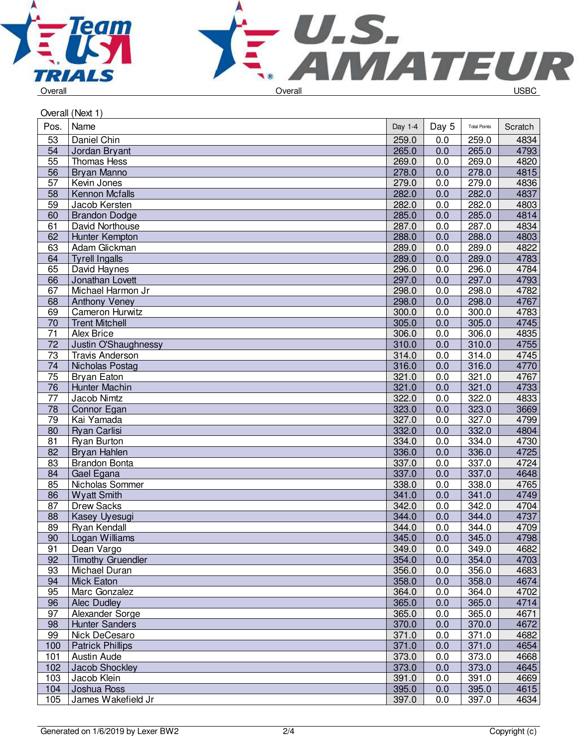



|                 | Overall (Next 1)         |         |       |                     |         |  |  |
|-----------------|--------------------------|---------|-------|---------------------|---------|--|--|
| Pos.            | Name                     | Day 1-4 | Day 5 | <b>Total Points</b> | Scratch |  |  |
| 53              | Daniel Chin              | 259.0   | 0.0   | 259.0               | 4834    |  |  |
| 54              | Jordan Bryant            | 265.0   | 0.0   | 265.0               | 4793    |  |  |
| 55              | <b>Thomas Hess</b>       | 269.0   | 0.0   | 269.0               | 4820    |  |  |
| 56              | Bryan Manno              | 278.0   | 0.0   | 278.0               | 4815    |  |  |
| 57              | Kevin Jones              | 279.0   | 0.0   | 279.0               | 4836    |  |  |
| 58              | <b>Kennon Mcfalls</b>    | 282.0   | 0.0   | 282.0               | 4837    |  |  |
| 59              | Jacob Kersten            | 282.0   | 0.0   | 282.0               | 4803    |  |  |
| 60              | <b>Brandon Dodge</b>     | 285.0   | 0.0   | 285.0               | 4814    |  |  |
| 61              | David Northouse          | 287.0   | 0.0   | 287.0               | 4834    |  |  |
| 62              | Hunter Kempton           | 288.0   | 0.0   | 288.0               | 4803    |  |  |
| 63              | Adam Glickman            | 289.0   | 0.0   | 289.0               | 4822    |  |  |
| 64              | <b>Tyrell Ingalls</b>    | 289.0   | 0.0   | 289.0               | 4783    |  |  |
| 65              | David Haynes             | 296.0   | 0.0   | 296.0               | 4784    |  |  |
| 66              | Jonathan Lovett          | 297.0   | 0.0   | 297.0               | 4793    |  |  |
| 67              | Michael Harmon Jr        | 298.0   | 0.0   | 298.0               | 4782    |  |  |
| 68              | Anthony Veney            | 298.0   | 0.0   | 298.0               | 4767    |  |  |
| 69              | Cameron Hurwitz          | 300.0   | 0.0   | 300.0               | 4783    |  |  |
| 70              | <b>Trent Mitchell</b>    | 305.0   | 0.0   | 305.0               | 4745    |  |  |
| 71              | <b>Alex Brice</b>        | 306.0   | 0.0   | 306.0               | 4835    |  |  |
| $\overline{72}$ | Justin O'Shaughnessy     | 310.0   | 0.0   | 310.0               | 4755    |  |  |
| $\overline{73}$ | <b>Travis Anderson</b>   | 314.0   | 0.0   | 314.0               | 4745    |  |  |
| 74              | Nicholas Postag          | 316.0   | 0.0   | 316.0               | 4770    |  |  |
| 75              | <b>Bryan Eaton</b>       | 321.0   | 0.0   | 321.0               | 4767    |  |  |
| 76              | Hunter Machin            | 321.0   | 0.0   | 321.0               | 4733    |  |  |
| $\overline{77}$ | Jacob Nimtz              | 322.0   | 0.0   | 322.0               | 4833    |  |  |
| $\overline{78}$ | Connor Egan              | 323.0   | 0.0   | 323.0               | 3669    |  |  |
| 79              | Kai Yamada               | 327.0   | 0.0   | 327.0               | 4799    |  |  |
| 80              | Ryan Carlisi             | 332.0   | 0.0   | 332.0               | 4804    |  |  |
| 81              | <b>Ryan Burton</b>       | 334.0   | 0.0   | 334.0               | 4730    |  |  |
| 82              | Bryan Hahlen             | 336.0   | 0.0   | 336.0               | 4725    |  |  |
| $\overline{83}$ | <b>Brandon Bonta</b>     | 337.0   | 0.0   | 337.0               | 4724    |  |  |
| 84              | Gael Egana               | 337.0   | 0.0   | 337.0               | 4648    |  |  |
| 85              | Nicholas Sommer          | 338.0   | 0.0   | 338.0               | 4765    |  |  |
| 86              | <b>Wyatt Smith</b>       | 341.0   | 0.0   | 341.0               | 4749    |  |  |
| 87              | <b>Drew Sacks</b>        | 342.0   | 0.0   | 342.0               | 4704    |  |  |
| 88              |                          | 344.0   | 0.0   | 344.0               | 4737    |  |  |
|                 | Kasey Uyesugi            |         |       |                     |         |  |  |
| 89              | Ryan Kendall             | 344.0   | 0.0   | 344.0               | 4709    |  |  |
| 90              | Logan Williams           | 345.0   | 0.0   | 345.0               | 4798    |  |  |
| 91<br>92        | Dean Vargo               | 349.0   | 0.0   | 349.0               | 4682    |  |  |
| 93              | <b>Timothy Gruendler</b> | 354.0   | 0.0   | 354.0               | 4703    |  |  |
|                 | Michael Duran            | 356.0   | 0.0   | 356.0               | 4683    |  |  |
| 94              | Mick Eaton               | 358.0   | 0.0   | 358.0               | 4674    |  |  |
| 95              | Marc Gonzalez            | 364.0   | 0.0   | 364.0               | 4702    |  |  |
| 96              | Alec Dudley              | 365.0   | 0.0   | 365.0               | 4714    |  |  |
| 97              | Alexander Sorge          | 365.0   | 0.0   | 365.0               | 4671    |  |  |
| 98              | <b>Hunter Sanders</b>    | 370.0   | 0.0   | 370.0               | 4672    |  |  |
| 99              | Nick DeCesaro            | 371.0   | 0.0   | 371.0               | 4682    |  |  |
| 100             | <b>Patrick Phillips</b>  | 371.0   | 0.0   | 371.0               | 4654    |  |  |
| 101             | Austin Aude              | 373.0   | 0.0   | 373.0               | 4668    |  |  |
| 102             | Jacob Shockley           | 373.0   | 0.0   | 373.0               | 4645    |  |  |
| 103             | Jacob Klein              | 391.0   | 0.0   | 391.0               | 4669    |  |  |
| 104             | Joshua Ross              | 395.0   | 0.0   | 395.0               | 4615    |  |  |
| 105             | James Wakefield Jr       | 397.0   | 0.0   | 397.0               | 4634    |  |  |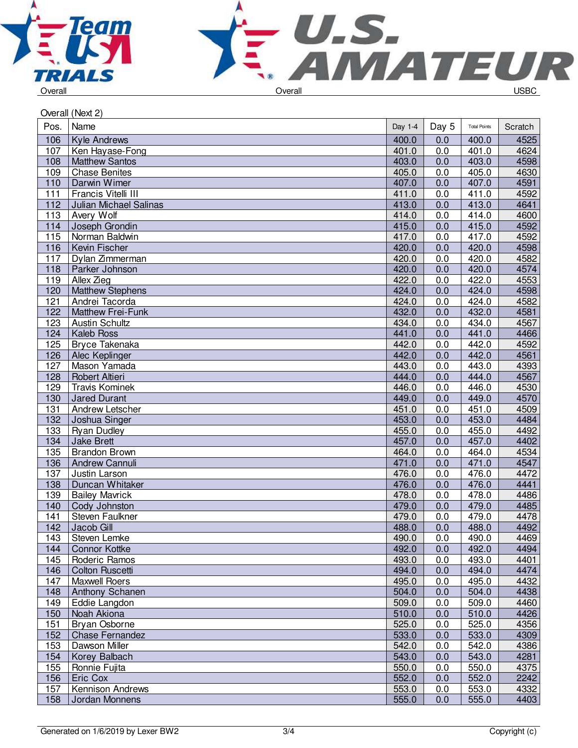



| Overall (Next 2) |                          |         |       |                     |         |  |
|------------------|--------------------------|---------|-------|---------------------|---------|--|
| Pos.             | Name                     | Day 1-4 | Day 5 | <b>Total Points</b> | Scratch |  |
| 106              | <b>Kyle Andrews</b>      | 400.0   | 0.0   | 400.0               | 4525    |  |
| 107              | Ken Hayase-Fong          | 401.0   | 0.0   | 401.0               | 4624    |  |
| 108              | <b>Matthew Santos</b>    | 403.0   | 0.0   | 403.0               | 4598    |  |
| 109              | <b>Chase Benites</b>     | 405.0   | 0.0   | 405.0               | 4630    |  |
| 110              | Darwin Wimer             | 407.0   | 0.0   | 407.0               | 4591    |  |
| 111              | Francis Vitelli III      | 411.0   | 0.0   | 411.0               | 4592    |  |
| 112              | Julian Michael Salinas   | 413.0   | 0.0   | 413.0               | 4641    |  |
| 113              | Avery Wolf               | 414.0   | 0.0   | 414.0               | 4600    |  |
| 114              | Joseph Grondin           | 415.0   | 0.0   | 415.0               | 4592    |  |
| 115              | Norman Baldwin           | 417.0   | 0.0   | 417.0               | 4592    |  |
| 116              | Kevin Fischer            | 420.0   | 0.0   | 420.0               | 4598    |  |
| 117              | Dylan Zimmerman          | 420.0   | 0.0   | 420.0               | 4582    |  |
| 118              | Parker Johnson           | 420.0   | 0.0   | 420.0               | 4574    |  |
| 119              | Allex Zieg               | 422.0   | 0.0   | 422.0               | 4553    |  |
| 120              | <b>Matthew Stephens</b>  | 424.0   | 0.0   | 424.0               | 4598    |  |
| 121              | Andrei Tacorda           | 424.0   | 0.0   | 424.0               | 4582    |  |
| 122              | <b>Matthew Frei-Funk</b> | 432.0   | 0.0   | 432.0               | 4581    |  |
| 123              | <b>Austin Schultz</b>    | 434.0   | 0.0   | 434.0               | 4567    |  |
| 124              | <b>Kaleb Ross</b>        | 441.0   | 0.0   | 441.0               | 4466    |  |
| 125              | <b>Bryce Takenaka</b>    | 442.0   | 0.0   | 442.0               | 4592    |  |
| 126              | Alec Keplinger           | 442.0   | 0.0   | 442.0               | 4561    |  |
| 127              | Mason Yamada             | 443.0   | 0.0   | 443.0               | 4393    |  |
| 128              | <b>Robert Altieri</b>    | 444.0   | 0.0   | 444.0               | 4567    |  |
| 129              | <b>Travis Kominek</b>    | 446.0   | 0.0   | 446.0               | 4530    |  |
| 130              | <b>Jared Durant</b>      | 449.0   | 0.0   | 449.0               | 4570    |  |
| 131              | Andrew Letscher          | 451.0   | 0.0   | 451.0               | 4509    |  |
| 132              | Joshua Singer            | 453.0   | 0.0   | 453.0               | 4484    |  |
| 133              | <b>Ryan Dudley</b>       | 455.0   | 0.0   | 455.0               | 4492    |  |
| 134              | <b>Jake Brett</b>        | 457.0   | 0.0   | 457.0               | 4402    |  |
| 135              | <b>Brandon Brown</b>     | 464.0   | 0.0   | 464.0               | 4534    |  |
| 136              | <b>Andrew Cannuli</b>    | 471.0   | 0.0   | 471.0               | 4547    |  |
| 137              | Justin Larson            | 476.0   | 0.0   | 476.0               | 4472    |  |
| 138              | Duncan Whitaker          | 476.0   | 0.0   | 476.0               | 4441    |  |
| 139              | <b>Bailey Mavrick</b>    | 478.0   | 0.0   | 478.0               | 4486    |  |
| 140              | Cody Johnston            | 479.0   | 0.0   | 479.0               | 4485    |  |
| 141              | Steven Faulkner          | 479.0   | 0.0   | 479.0               | 4478    |  |
| 142              | Jacob Gill               | 488.0   | 0.0   | 488.0               | 4492    |  |
| 143              | Steven Lemke             | 490.0   | 0.0   | 490.0               | 4469    |  |
| 144              | <b>Connor Kottke</b>     | 492.0   | 0.0   | 492.0               | 4494    |  |
| 145              | Roderic Ramos            | 493.0   | 0.0   | 493.0               | 4401    |  |
| 146              | <b>Colton Ruscetti</b>   | 494.0   | 0.0   | 494.0               | 4474    |  |
| 147              | <b>Maxwell Roers</b>     | 495.0   | 0.0   | 495.0               | 4432    |  |
| 148              | Anthony Schanen          | 504.0   | 0.0   | 504.0               | 4438    |  |
| 149              | Eddie Langdon            | 509.0   | 0.0   | 509.0               | 4460    |  |
| 150              | Noah Akiona              | 510.0   | 0.0   | 510.0               | 4426    |  |
| 151              | Bryan Osborne            | 525.0   | 0.0   | 525.0               | 4356    |  |
| 152              | <b>Chase Fernandez</b>   | 533.0   | 0.0   | 533.0               | 4309    |  |
| 153              | Dawson Miller            | 542.0   | 0.0   | 542.0               | 4386    |  |
| 154              | Korey Balbach            | 543.0   | 0.0   | 543.0               | 4281    |  |
| 155              | Ronnie Fujita            | 550.0   | 0.0   | 550.0               | 4375    |  |
| 156              | Eric Cox                 | 552.0   | 0.0   | 552.0               | 2242    |  |
| 157              | Kennison Andrews         | 553.0   | 0.0   | 553.0               | 4332    |  |
| 158              | Jordan Monnens           | 555.0   | 0.0   | 555.0               | 4403    |  |